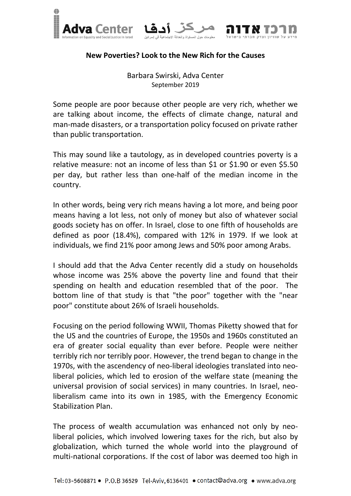





Barbara Swirski, Adva Center September 2019

Some people are poor because other people are very rich, whether we are talking about income, the effects of climate change, natural and man-made disasters, or a transportation policy focused on private rather than public transportation.

This may sound like a tautology, as in developed countries poverty is a relative measure: not an income of less than \$1 or \$1.90 or even \$5.50 per day, but rather less than one-half of the median income in the country.

In other words, being very rich means having a lot more, and being poor means having a lot less, not only of money but also of whatever social goods society has on offer. In Israel, close to one fifth of households are defined as poor (18.4%), compared with 12% in 1979. If we look at individuals, we find 21% poor among Jews and 50% poor among Arabs.

I should add that the Adva Center recently did a study on households whose income was 25% above the poverty line and found that their spending on health and education resembled that of the poor. The bottom line of that study is that "the poor" together with the "near poor" constitute about 26% of Israeli households.

Focusing on the period following WWII, Thomas Piketty showed that for the US and the countries of Europe, the 1950s and 1960s constituted an era of greater social equality than ever before. People were neither terribly rich nor terribly poor. However, the trend began to change in the 1970s, with the ascendency of neo-liberal ideologies translated into neoliberal policies, which led to erosion of the welfare state (meaning the universal provision of social services) in many countries. In Israel, neoliberalism came into its own in 1985, with the Emergency Economic Stabilization Plan.

The process of wealth accumulation was enhanced not only by neoliberal policies, which involved lowering taxes for the rich, but also by globalization, which turned the whole world into the playground of multi-national corporations. If the cost of labor was deemed too high in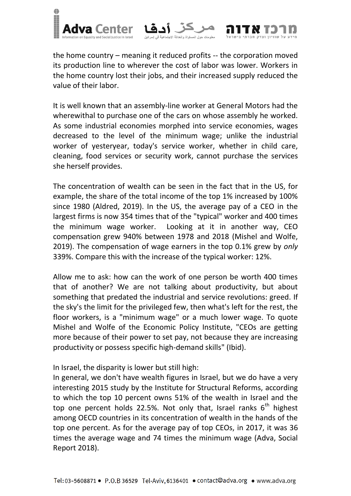

the home country – meaning it reduced profits -- the corporation moved its production line to wherever the cost of labor was lower. Workers in the home country lost their jobs, and their increased supply reduced the value of their labor.

It is well known that an assembly-line worker at General Motors had the wherewithal to purchase one of the cars on whose assembly he worked. As some industrial economies morphed into service economies, wages decreased to the level of the minimum wage; unlike the industrial worker of yesteryear, today's service worker, whether in child care, cleaning, food services or security work, cannot purchase the services she herself provides.

The concentration of wealth can be seen in the fact that in the US, for example, the share of the total income of the top 1% increased by 100% since 1980 (Aldred, 2019). In the US, the average pay of a CEO in the largest firms is now 354 times that of the "typical" worker and 400 times the minimum wage worker. Looking at it in another way, CEO compensation grew 940% between 1978 and 2018 (Mishel and Wolfe, 2019). The compensation of wage earners in the top 0.1% grew by *only* 339%. Compare this with the increase of the typical worker: 12%.

Allow me to ask: how can the work of one person be worth 400 times that of another? We are not talking about productivity, but about something that predated the industrial and service revolutions: greed. If the sky's the limit for the privileged few, then what's left for the rest, the floor workers, is a "minimum wage" or a much lower wage. To quote Mishel and Wolfe of the Economic Policy Institute, "CEOs are getting more because of their power to set pay, not because they are increasing productivity or possess specific high-demand skills" (Ibid).

In Israel, the disparity is lower but still high:

In general, we don't have wealth figures in Israel, but we do have a very interesting 2015 study by the Institute for Structural Reforms, according to which the top 10 percent owns 51% of the wealth in Israel and the top one percent holds 22.5%. Not only that, Israel ranks  $6<sup>th</sup>$  highest among OECD countries in its concentration of wealth in the hands of the top one percent. As for the average pay of top CEOs, in 2017, it was 36 times the average wage and 74 times the minimum wage (Adva, Social Report 2018).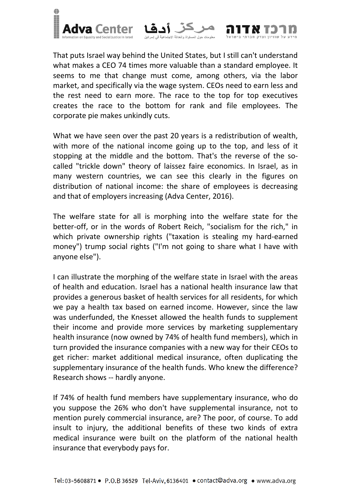

That puts Israel way behind the United States, but I still can't understand what makes a CEO 74 times more valuable than a standard employee. It seems to me that change must come, among others, via the labor market, and specifically via the wage system. CEOs need to earn less and the rest need to earn more. The race to the top for top executives creates the race to the bottom for rank and file employees. The corporate pie makes unkindly cuts.

What we have seen over the past 20 years is a redistribution of wealth, with more of the national income going up to the top, and less of it stopping at the middle and the bottom. That's the reverse of the socalled "trickle down" theory of laissez faire economics. In Israel, as in many western countries, we can see this clearly in the figures on distribution of national income: the share of employees is decreasing and that of employers increasing (Adva Center, 2016).

The welfare state for all is morphing into the welfare state for the better-off, or in the words of Robert Reich, "socialism for the rich," in which private ownership rights ("taxation is stealing my hard-earned money") trump social rights ("I'm not going to share what I have with anyone else").

I can illustrate the morphing of the welfare state in Israel with the areas of health and education. Israel has a national health insurance law that provides a generous basket of health services for all residents, for which we pay a health tax based on earned income. However, since the law was underfunded, the Knesset allowed the health funds to supplement their income and provide more services by marketing supplementary health insurance (now owned by 74% of health fund members), which in turn provided the insurance companies with a new way for their CEOs to get richer: market additional medical insurance, often duplicating the supplementary insurance of the health funds. Who knew the difference? Research shows -- hardly anyone.

If 74% of health fund members have supplementary insurance, who do you suppose the 26% who don't have supplemental insurance, not to mention purely commercial insurance, are? The poor, of course. To add insult to injury, the additional benefits of these two kinds of extra medical insurance were built on the platform of the national health insurance that everybody pays for.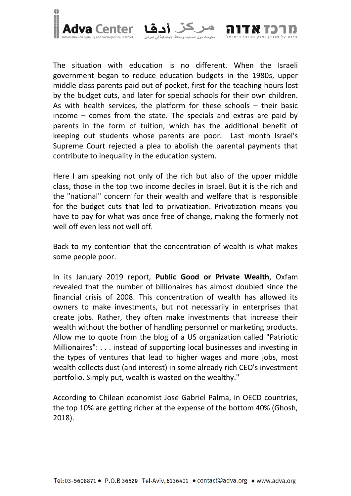

The situation with education is no different. When the Israeli government began to reduce education budgets in the 1980s, upper middle class parents paid out of pocket, first for the teaching hours lost by the budget cuts, and later for special schools for their own children. As with health services, the platform for these schools – their basic income – comes from the state. The specials and extras are paid by parents in the form of tuition, which has the additional benefit of keeping out students whose parents are poor. Last month Israel's Supreme Court rejected a plea to abolish the parental payments that contribute to inequality in the education system.

.<br>ات جو ل المساو إة و العدالة الاجت

Here I am speaking not only of the rich but also of the upper middle class, those in the top two income deciles in Israel. But it is the rich and the "national" concern for their wealth and welfare that is responsible for the budget cuts that led to privatization. Privatization means you have to pay for what was once free of change, making the formerly not well off even less not well off.

Back to my contention that the concentration of wealth is what makes some people poor.

In its January 2019 report, **Public Good or Private Wealth**, Oxfam revealed that the number of billionaires has almost doubled since the financial crisis of 2008. This concentration of wealth has allowed its owners to make investments, but not necessarily in enterprises that create jobs. Rather, they often make investments that increase their wealth without the bother of handling personnel or marketing products. Allow me to quote from the blog of a US organization called "Patriotic Millionaires": . . . instead of supporting local businesses and investing in the types of ventures that lead to higher wages and more jobs, most wealth collects dust (and interest) in some already rich CEO's investment portfolio. Simply put, wealth is wasted on the wealthy."

According to Chilean economist Jose Gabriel Palma, in OECD countries, the top 10% are getting richer at the expense of the bottom 40% (Ghosh, 2018).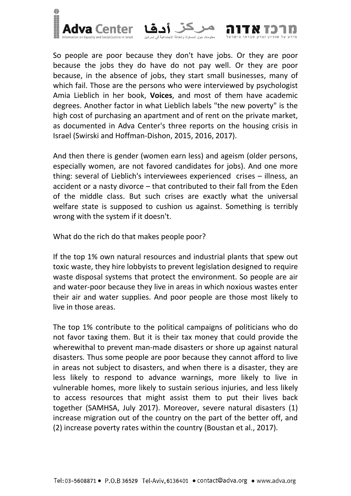

So people are poor because they don't have jobs. Or they are poor because the jobs they do have do not pay well. Or they are poor because, in the absence of jobs, they start small businesses, many of which fail. Those are the persons who were interviewed by psychologist Amia Lieblich in her book, **Voices**, and most of them have academic degrees. Another factor in what Lieblich labels "the new poverty" is the high cost of purchasing an apartment and of rent on the private market, as documented in Adva Center's three reports on the housing crisis in Israel (Swirski and Hoffman-Dishon, 2015, 2016, 2017).

And then there is gender (women earn less) and ageism (older persons, especially women, are not favored candidates for jobs). And one more thing: several of Lieblich's interviewees experienced crises – illness, an accident or a nasty divorce – that contributed to their fall from the Eden of the middle class. But such crises are exactly what the universal welfare state is supposed to cushion us against. Something is terribly wrong with the system if it doesn't.

What do the rich do that makes people poor?

If the top 1% own natural resources and industrial plants that spew out toxic waste, they hire lobbyists to prevent legislation designed to require waste disposal systems that protect the environment. So people are air and water-poor because they live in areas in which noxious wastes enter their air and water supplies. And poor people are those most likely to live in those areas.

The top 1% contribute to the political campaigns of politicians who do not favor taxing them. But it is their tax money that could provide the wherewithal to prevent man-made disasters or shore up against natural disasters. Thus some people are poor because they cannot afford to live in areas not subject to disasters, and when there is a disaster, they are less likely to respond to advance warnings, more likely to live in vulnerable homes, more likely to sustain serious injuries, and less likely to access resources that might assist them to put their lives back together (SAMHSA, July 2017). Moreover, severe natural disasters (1) increase migration out of the country on the part of the better off, and (2) increase poverty rates within the country (Boustan et al., 2017).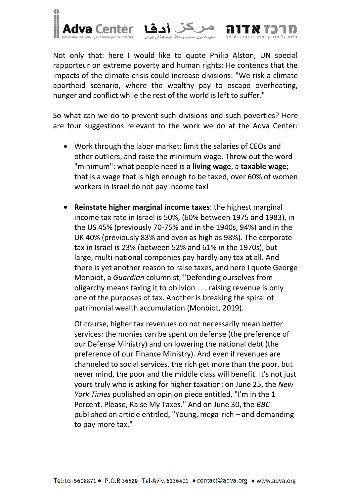

Not only that: here I would like to quote Philip Alston, UN special rapporteur on extreme poverty and human rights: He contends that the impacts of the climate crisis could increase divisions: "We risk a climate apartheid scenario, where the wealthy pay to escape overheating, hunger and conflict while the rest of the world is left to suffer."

So what can we do to prevent such divisions and such poverties? Here are four suggestions relevant to the work we do at the Adva Center:

- Work through the labor market: limit the salaries of CEOs and other outliers, and raise the minimum wage. Throw out the word "minimum": what people need is a **living wage**, a **taxable wage**; that is a wage that is high enough to be taxed; over 60% of women workers in Israel do not pay income tax!
- **Reinstate higher marginal income taxes**: the highest marginal income tax rate in Israel is 50%, (60% between 1975 and 1983), in the US 45% (previously 70-75% and in the 1940s, 94%) and in the UK 40% (previously 83% and even as high as 98%). The corporate tax in Israel is 23% (between 52% and 61% in the 1970s), but large, multi-national companies pay hardly any tax at all. And there is yet another reason to raise taxes, and here I quote George Monbiot, a *Guardian* columnist, "Defending ourselves from oligarchy means taxing it to oblivion . . . raising revenue is only one of the purposes of tax. Another is breaking the spiral of patrimonial wealth accumulation (Monbiot, 2019).

Of course, higher tax revenues do not necessarily mean better services: the monies can be spent on defense (the preference of our Defense Ministry) and on lowering the national debt (the preference of our Finance Ministry). And even if revenues are channeled to social services, the rich get more than the poor, but never mind, the poor and the middle class will benefit. It's not just yours truly who is asking for higher taxation: on June 25, the *New York Times* published an opinion piece entitled, "I'm in the 1 Percent. Please, Raise My Taxes." And on June 30, the *BBC* published an article entitled, "Young, mega-rich – and demanding to pay more tax."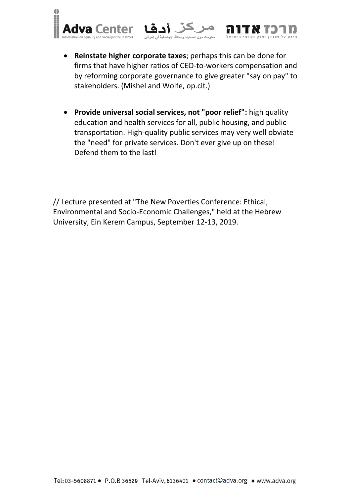



 **Provide universal social services, not "poor relief":** high quality education and health services for all, public housing, and public transportation. High-quality public services may very well obviate the "need" for private services. Don't ever give up on these! Defend them to the last!

// Lecture presented at "The New Poverties Conference: Ethical, Environmental and Socio-Economic Challenges," held at the Hebrew University, Ein Kerem Campus, September 12-13, 2019.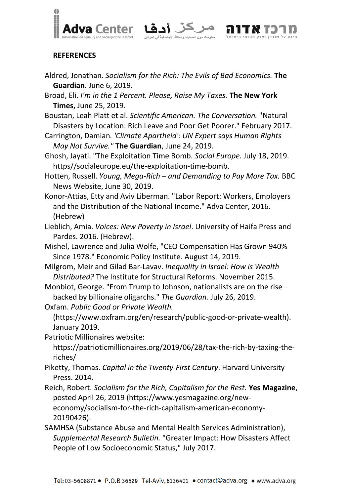

.<br>ت حول المساواة والعدالة الاج*دّ* 

## **REFERENCES**

- Aldred, Jonathan. *Socialism for the Rich: The Evils of Bad Economics.* **The Guardian**. June 6, 2019.
- Broad, Eli. *I'm in the 1 Percent. Please, Raise My Taxes.* **The New York Times,** June 25, 2019.
- Boustan, Leah Platt et al. *Scientific American. The Conversation.* "Natural Disasters by Location: Rich Leave and Poor Get Poorer." February 2017.
- Carrington, Damian*. 'Climate Apartheid': UN Expert says Human Rights May Not Survive."* **The Guardian**, June 24, 2019.
- Ghosh, Jayati. "The Exploitation Time Bomb. *Social Europe*. July 18, 2019. https//socialeurope.eu/the-exploitation-time-bomb.
- Hotten, Russell. *Young, Mega-Rich – and Demanding to Pay More Tax.* BBC News Website, June 30, 2019.
- Konor-Attias, Etty and Aviv Liberman. "Labor Report: Workers, Employers and the Distribution of the National Income." Adva Center, 2016. (Hebrew)
- Lieblich, Amia. *Voices: New Poverty in Israel*. University of Haifa Press and Pardes. 2016. (Hebrew).
- Mishel, Lawrence and Julia Wolfe, "CEO Compensation Has Grown 940% Since 1978." Economic Policy Institute. August 14, 2019.
- Milgrom, Meir and Gilad Bar-Lavav. *Inequality in Israel: How is Wealth Distributed?* The Institute for Structural Reforms. November 2015.
- Monbiot, George. "From Trump to Johnson, nationalists are on the rise backed by billionaire oligarchs." *The Guardian.* July 26, 2019.
- Oxfam. *Public Good or Private Wealth.* 
	- (https://www.oxfram.org/en/research/public-good-or-private-wealth). January 2019.
- Patriotic Millionaires website:

https://patrioticmillionaires.org/2019/06/28/tax-the-rich-by-taxing-theriches/

- Piketty, Thomas. *Capital in the Twenty-First Century*. Harvard University Press. 2014.
- Reich, Robert. *Socialism for the Rich, Capitalism for the Rest.* **Yes Magazine**, posted April 26, 2019 (https://www.yesmagazine.org/neweconomy/socialism-for-the-rich-capitalism-american-economy-20190426).
- SAMHSA (Substance Abuse and Mental Health Services Administration), *Supplemental Research Bulletin.* "Greater Impact: How Disasters Affect People of Low Socioeconomic Status," July 2017.